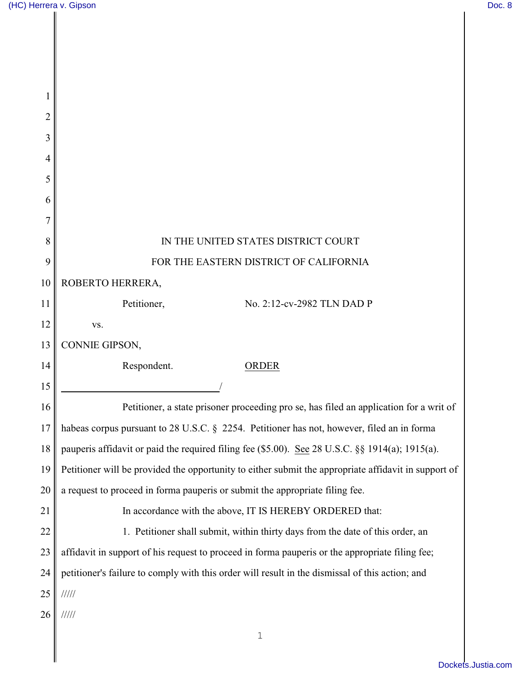| 2  |                                                                                                      |
|----|------------------------------------------------------------------------------------------------------|
| 3  |                                                                                                      |
| 4  |                                                                                                      |
| 5  |                                                                                                      |
| 6  |                                                                                                      |
| 8  | IN THE UNITED STATES DISTRICT COURT                                                                  |
|    |                                                                                                      |
| 9  | FOR THE EASTERN DISTRICT OF CALIFORNIA                                                               |
| 10 | ROBERTO HERRERA,                                                                                     |
| 11 | Petitioner,<br>No. 2:12-cv-2982 TLN DAD P                                                            |
| 12 | VS.                                                                                                  |
| 13 | CONNIE GIPSON,                                                                                       |
| 14 | Respondent.<br><b>ORDER</b>                                                                          |
| 15 |                                                                                                      |
| 16 | Petitioner, a state prisoner proceeding pro se, has filed an application for a writ of               |
| 17 | habeas corpus pursuant to 28 U.S.C. § 2254. Petitioner has not, however, filed an in forma           |
| 18 | pauperis affidavit or paid the required filing fee (\$5.00). See 28 U.S.C. §§ 1914(a); 1915(a).      |
| 19 | Petitioner will be provided the opportunity to either submit the appropriate affidavit in support of |
| 20 | a request to proceed in forma pauperis or submit the appropriate filing fee.                         |
| 21 | In accordance with the above, IT IS HEREBY ORDERED that:                                             |
| 22 | 1. Petitioner shall submit, within thirty days from the date of this order, an                       |
| 23 | affidavit in support of his request to proceed in forma pauperis or the appropriate filing fee;      |
| 24 | petitioner's failure to comply with this order will result in the dismissal of this action; and      |
| 25 | 11111                                                                                                |
| 26 | 11111                                                                                                |
|    | $\mathbf 1$                                                                                          |
|    |                                                                                                      |